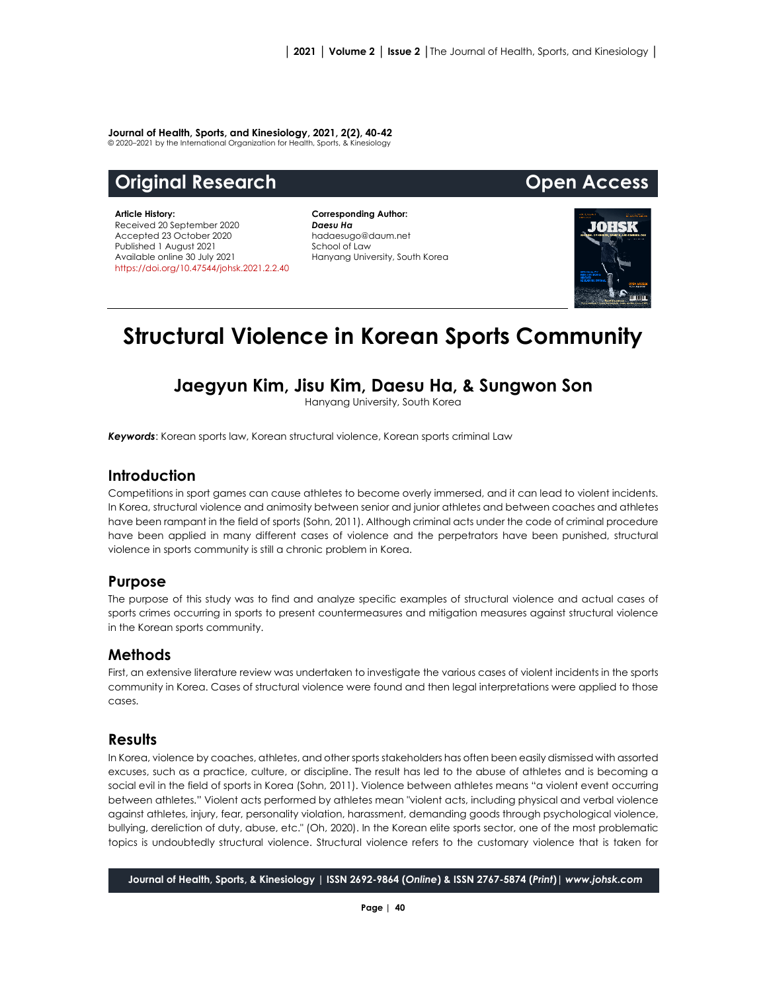#### **Journal of Health, Sports, and Kinesiology, 2021, 2(2), 40-42**

© 2020–2021 by the International Organization for Health, Sports, & Kinesiology

# **Original Research Open Access**

**Article History:** Received 20 September 2020 Accepted 23 October 2020 Published 1 August 2021 Available online 30 July 2021 [https://doi.org/10.47544/johsk.2021.2.2.4](https://doi.org/10.47544/johsk.2021.2.2.)0

**Corresponding Author:** *Daesu Ha* hadaesugo@daum.net School of Law Hanyang University, South Korea



# **Structural Violence in Korean Sports Community**

## **Jaegyun Kim, Jisu Kim, Daesu Ha, & Sungwon Son**

Hanyang University, South Korea

*Keywords*: Korean sports law, Korean structural violence, Korean sports criminal Law

### **Introduction**

Competitions in sport games can cause athletes to become overly immersed, and it can lead to violent incidents. In Korea, structural violence and animosity between senior and junior athletes and between coaches and athletes have been rampant in the field of sports (Sohn, 2011). Although criminal acts under the code of criminal procedure have been applied in many different cases of violence and the perpetrators have been punished, structural violence in sports community is still a chronic problem in Korea.

#### **Purpose**

The purpose of this study was to find and analyze specific examples of structural violence and actual cases of sports crimes occurring in sports to present countermeasures and mitigation measures against structural violence in the Korean sports community.

### **Methods**

First, an extensive literature review was undertaken to investigate the various cases of violent incidents in the sports community in Korea. Cases of structural violence were found and then legal interpretations were applied to those cases.

### **Results**

In Korea, violence by coaches, athletes, and other sports stakeholders has often been easily dismissed with assorted excuses, such as a practice, culture, or discipline. The result has led to the abuse of athletes and is becoming a social evil in the field of sports in Korea (Sohn, 2011). Violence between athletes means "a violent event occurring between athletes." Violent acts performed by athletes mean "violent acts, including physical and verbal violence against athletes, injury, fear, personality violation, harassment, demanding goods through psychological violence, bullying, dereliction of duty, abuse, etc." (Oh, 2020). In the Korean elite sports sector, one of the most problematic topics is undoubtedly structural violence. Structural violence refers to the customary violence that is taken for

**Journal of Health, Sports, & Kinesiology | ISSN 2692-9864 (***Online***) & ISSN 2767-5874 (***Print***)|** *www.johsk.com*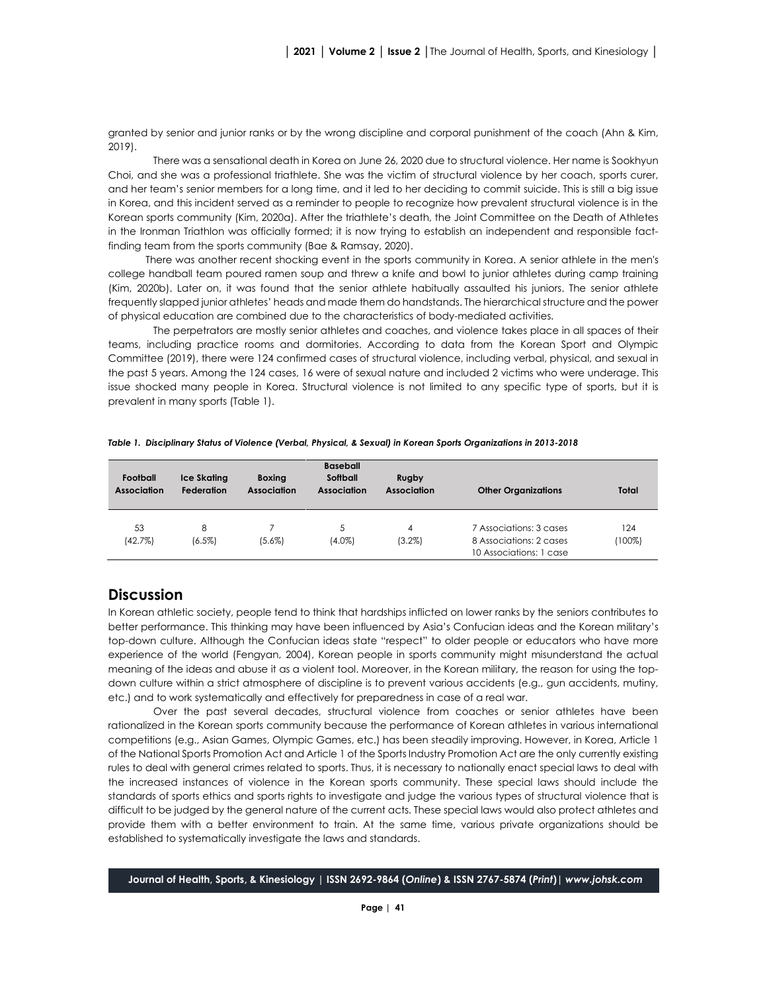granted by senior and junior ranks or by the wrong discipline and corporal punishment of the coach (Ahn & Kim, 2019).

There was a sensational death in Korea on June 26, 2020 due to structural violence. Her name is Sookhyun Choi, and she was a professional triathlete. She was the victim of structural violence by her coach, sports curer, and her team's senior members for a long time, and it led to her deciding to commit suicide. This is still a big issue in Korea, and this incident served as a reminder to people to recognize how prevalent structural violence is in the Korean sports community (Kim, 2020a). After the triathlete's death, the Joint Committee on the Death of Athletes in the Ironman Triathlon was officially formed; it is now trying to establish an independent and responsible factfinding team from the sports community (Bae & Ramsay, 2020).

There was another recent shocking event in the sports community in Korea. A senior athlete in the men's college handball team poured ramen soup and threw a knife and bowl to junior athletes during camp training (Kim, 2020b). Later on, it was found that the senior athlete habitually assaulted his juniors. The senior athlete frequently slapped junior athletes' heads and made them do handstands. The hierarchical structure and the power of physical education are combined due to the characteristics of body-mediated activities.

The perpetrators are mostly senior athletes and coaches, and violence takes place in all spaces of their teams, including practice rooms and dormitories. According to data from the Korean Sport and Olympic Committee (2019), there were 124 confirmed cases of structural violence, including verbal, physical, and sexual in the past 5 years. Among the 124 cases, 16 were of sexual nature and included 2 victims who were underage. This issue shocked many people in Korea. Structural violence is not limited to any specific type of sports, but it is prevalent in many sports (Table 1).

| Football<br><b>Association</b> | <b>Ice Skating</b><br><b>Federation</b> | <b>Boxing</b><br><b>Association</b> | <b>Baseball</b><br>Softball<br><b>Association</b> | <b>Rugby</b><br><b>Association</b> | <b>Other Organizations</b>                                                    | Total            |
|--------------------------------|-----------------------------------------|-------------------------------------|---------------------------------------------------|------------------------------------|-------------------------------------------------------------------------------|------------------|
| 53<br>(42.7%)                  | 8<br>$(6.5\%)$                          | $(5.6\%)$                           | 5<br>(4.0%)                                       | 4<br>$(3.2\%)$                     | 7 Associations: 3 cases<br>8 Associations: 2 cases<br>10 Associations: 1 case | 124<br>$(100\%)$ |

*Table 1. Disciplinary Status of Violence (Verbal, Physical, & Sexual) in Korean Sports Organizations in 2013-2018*

#### **Discussion**

In Korean athletic society, people tend to think that hardships inflicted on lower ranks by the seniors contributes to better performance. This thinking may have been influenced by Asia's Confucian ideas and the Korean military's top-down culture. Although the Confucian ideas state "respect" to older people or educators who have more experience of the world (Fengyan, 2004), Korean people in sports community might misunderstand the actual meaning of the ideas and abuse it as a violent tool. Moreover, in the Korean military, the reason for using the topdown culture within a strict atmosphere of discipline is to prevent various accidents (e.g., gun accidents, mutiny, etc.) and to work systematically and effectively for preparedness in case of a real war.

Over the past several decades, structural violence from coaches or senior athletes have been rationalized in the Korean sports community because the performance of Korean athletes in various international competitions (e.g., Asian Games, Olympic Games, etc.) has been steadily improving. However, in Korea, Article 1 of the National Sports Promotion Act and Article 1 of the Sports Industry Promotion Act are the only currently existing rules to deal with general crimes related to sports. Thus, it is necessary to nationally enact special laws to deal with the increased instances of violence in the Korean sports community. These special laws should include the standards of sports ethics and sports rights to investigate and judge the various types of structural violence that is difficult to be judged by the general nature of the current acts. These special laws would also protect athletes and provide them with a better environment to train. At the same time, various private organizations should be established to systematically investigate the laws and standards.